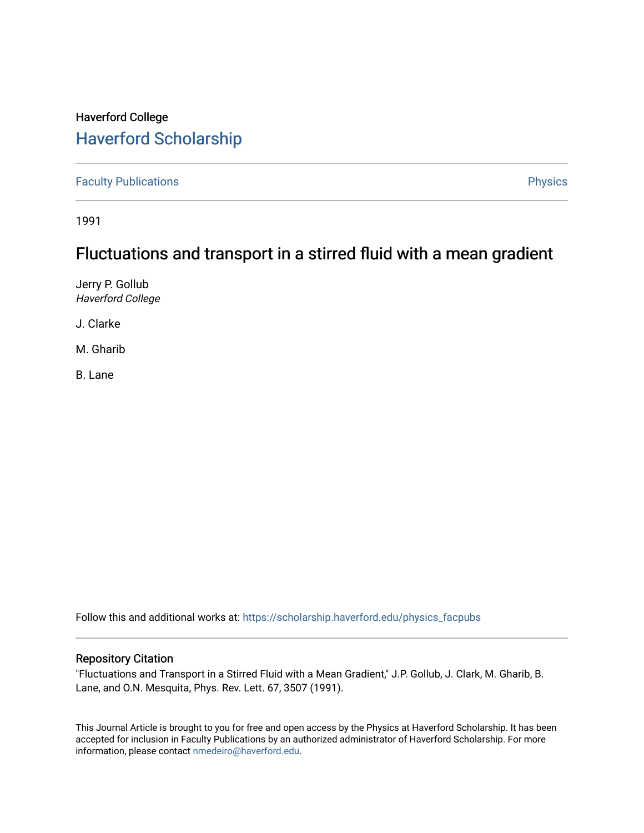## Haverford College [Haverford Scholarship](https://scholarship.haverford.edu/)

[Faculty Publications](https://scholarship.haverford.edu/physics_facpubs) **Physics** 

1991

## Fluctuations and transport in a stirred fluid with a mean gradient

Jerry P. Gollub Haverford College

J. Clarke

M. Gharib

B. Lane

Follow this and additional works at: [https://scholarship.haverford.edu/physics\\_facpubs](https://scholarship.haverford.edu/physics_facpubs?utm_source=scholarship.haverford.edu%2Fphysics_facpubs%2F54&utm_medium=PDF&utm_campaign=PDFCoverPages) 

## Repository Citation

"Fluctuations and Transport in a Stirred Fluid with a Mean Gradient," J.P. Gollub, J. Clark, M. Gharib, B. Lane, and O.N. Mesquita, Phys. Rev. Lett. 67, 3507 (1991).

This Journal Article is brought to you for free and open access by the Physics at Haverford Scholarship. It has been accepted for inclusion in Faculty Publications by an authorized administrator of Haverford Scholarship. For more information, please contact [nmedeiro@haverford.edu.](mailto:nmedeiro@haverford.edu)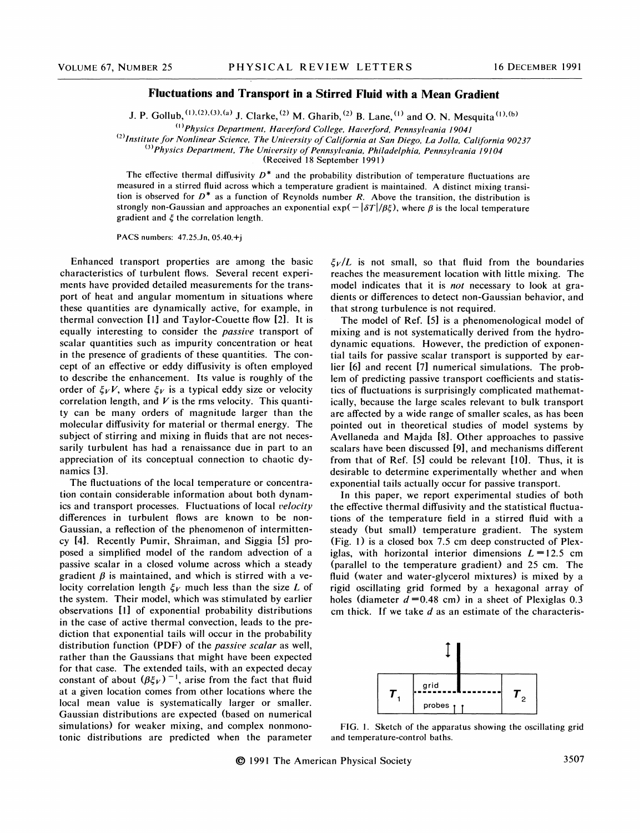## Fluctuations and Transport in a Stirred Fluid with a Mean Gradient

J. P. Gollub,  $(1), (2), (3), (a)$  J. Clarke,  $(2)$  M. Gharib,  $(2)$  B. Lane,  $(1)$  and O. N. Mesquita  $(1)$ 

'Physics Department, Haverford College, Haverford, Pennsylvania 19041

 $^{(2)}$ Institute for Nonlinear Science, The University of California at San Diego, La Jolla, California 90237

 $(3)$ Physics Department, The University of Pennsylvania, Philadelphia, Pennsylvania 19104

(Received Ig September 1991)

The effective thermal diffusivity  $D^*$  and the probability distribution of temperature fluctuations are measured in a stirred fluid across which a temperature gradient is maintained. A distinct mixing transition is observed for  $D^*$  as a function of Reynolds number R. Above the transition, the distribution is strongly non-Gaussian and approaches an exponential  $\exp(-\frac{\delta T}{\beta \xi})$ , where  $\beta$  is the local temperature gradient and  $\xi$  the correlation length.

PACS numbers: 47.25.Jn, 05.40.+j

Enhanced transport properties are among the basic characteristics of turbulent flows. Several recent experiments have provided detailed measurements for the transport of heat and angular momentum in situations where these quantities are dynamically active, for example, in thermal convection [1] and Taylor-Couette flow [2]. It is equally interesting to consider the passive transport of scalar quantities such as impurity concentration or heat in the presence of gradients of these quantities. The concept of an effective or eddy diffusivity is often employed to describe the enhancement. Its value is roughly of the order of  $\xi_V V$ , where  $\xi_V$  is a typical eddy size or velocity correlation length, and  $V$  is the rms velocity. This quantity can be many orders of magnitude larger than the molecular diffusivity for material or thermal energy. The subject of stirring and mixing in fluids that are not necessarily turbulent has had a renaissance due in part to an appreciation of its conceptual connection to chaotic dynamics [3].

The fluctuations of the local temperature or concentration contain considerable information about both dynamics and transport processes. Fluctuations of local velocity differences in turbulent flows are known to be non-Gaussian, a reflection of the phenomenon of intermittency [4]. Recently Pumir, Shraiman, and Siggia [5] proposed a simplified model of the random advection of a passive scalar in a closed volume across which a steady gradient  $\beta$  is maintained, and which is stirred with a velocity correlation length  $\xi_V$  much less than the size L of the system. Their model, which was stimulated by earlier observations [1] of exponential probability distributions in the case of active thermal convection, leads to the prediction that exponential tails will occur in the probability distribution function (PDF) of the *passive scalar* as well, rather than the Gaussians that might have been expected for that case. The extended tails, with an expected decay constant of about  $(\beta \xi_V)^{-1}$ , arise from the fact that fluid at a given location comes from other locations where the local mean value is systematically larger or smaller. Gaussian distributions are expected (based on numerical simulations) for weaker mixing, and complex nonmonotonic distributions are predicted when the parameter  $\zeta_V/L$  is not small, so that fluid from the boundaries reaches the measurement location with little mixing. The model indicates that it is *not* necessary to look at gradients or differences to detect non-Gaussian behavior, and that strong turbulence is not required.

The model of Ref. [5] is a phenomenological model of mixing and is not systematically derived from the hydrodynamic equations. However, the prediction of exponential tails for passive scalar transport is supported by earlier [6] and recent [7] numerical simulations. The problem of predicting passive transport coefficients and statistics of fluctuations is surprisingly complicated mathematically, because the large scales relevant to bulk transport are affected by a wide range of smaller scales, as has been pointed out in theoretical studies of model systems by Avellaneda and Majda [8]. Other approaches to passive scalars have been discussed [9], and mechanisms different from that of Ref. [5] could be relevant [10]. Thus, it is desirable to determine experimentally whether and when exponential tails actually occur for passive transport.

In this paper, we report experimental studies of both the effective thermal diffusivity and the statistical fluctuations of the temperature field in a stirred fluid with a steady (but small) temperature gradient. The system (Fig. 1) is a closed box 7.5 cm deep constructed of Plexiglas, with horizontal interior dimensions  $L = 12.5$  cm (parallel to the temperature gradient) and 25 cm. The fluid (water and water-glycerol mixtures) is mixed by a rigid oscillating grid formed by a hexagonal array of holes (diameter  $d=0.48$  cm) in a sheet of Plexiglas 0.3 cm thick. If we take  $d$  as an estimate of the characteris-



FIG. i. Sketch of the apparatus showing the oscillating grid and temperature-control baths.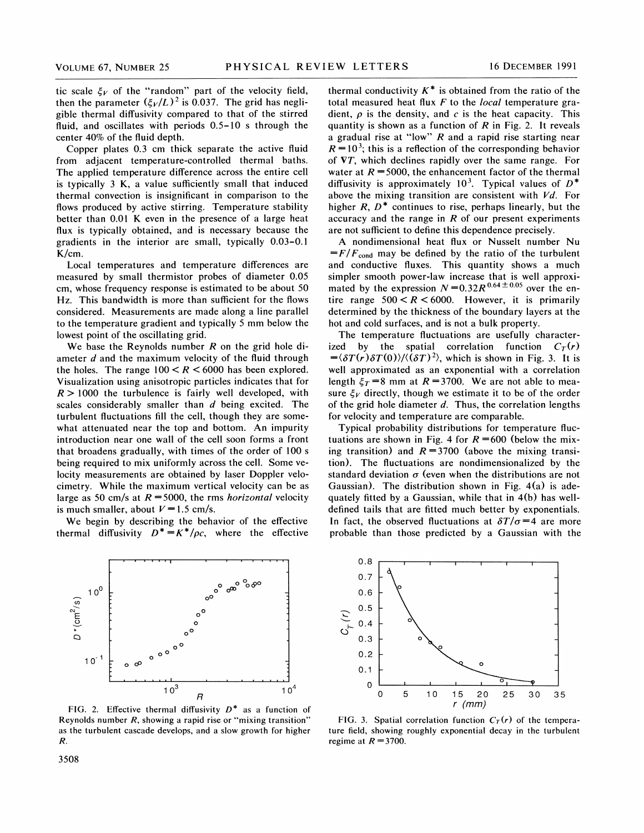tic scale  $\xi_V$  of the "random" part of the velocity field, then the parameter  $(\xi_V/L)^2$  is 0.037. The grid has negligible thermal diffusivity compared to that of the stirred fluid, and oscillates with periods 0.5-10 <sup>s</sup> through the center 40% of the fluid depth.

Copper plates 0.3 cm thick separate the active fluid from adjacent temperature-controlled thermal baths. The applied temperature difference across the entire cell is typically 3 K, a value sufficiently small that induced thermal convection is insignificant in comparison to the flows produced by active stirring. Temperature stability better than 0.01 K even in the presence of a large heat flux is typically obtained, and is necessary because the gradients in the interior are small, typically 0.03-0.<sup>1</sup> K/cm.

Local temperatures and temperature differences are measured by small thermistor probes of diameter 0.05 cm, whose frequency response is estimated to be about 50 Hz. This bandwidth is more than sufficient for the flows considered. Measurements are made along a line parallel to the temperature gradient and typically 5 mm below the lowest point of the oscillating grid.

We base the Reynolds number  $R$  on the grid hole diameter  $d$  and the maximum velocity of the fluid through the holes. The range  $100 < R < 6000$  has been explored. Visualization using anisotropic particles indicates that for  $R > 1000$  the turbulence is fairly well developed, with scales considerably smaller than d being excited. The turbulent fluctuations fill the cell, though they are somewhat attenuated near the top and bottom. An impurity introduction near one wall of the cell soon forms a front that broadens gradually, with times of the order of 100 s being required to mix uniformly across the cell. Some velocity measurements are obtained by laser Doppler velocimetry. While the maximum vertical velocity can be as large as 50 cm/s at  $R = 5000$ , the rms *horizontal* velocity is much smaller, about  $V=1.5$  cm/s.

We begin by describing the behavior of the effective thermal diffusivity  $D^* = K^*/\rho c$ , where the effective



FIG. 2. Effective thermal diffusivity  $D^*$  as a function of Reynolds number R, showing a rapid rise or "mixing transition" as the turbulent cascade develops, and a slow growth for higher R.

thermal conductivity  $K^*$  is obtained from the ratio of the total measured heat flux  $F$  to the *local* temperature gradient,  $\rho$  is the density, and c is the heat capacity. This quantity is shown as a function of  $R$  in Fig. 2. It reveals a gradual rise at "low"  $R$  and a rapid rise starting near  $R = 10<sup>3</sup>$ ; this is a reflection of the corresponding behavior of VT, which declines rapidly over the same range. For water at  $R = 5000$ , the enhancement factor of the thermal diffusivity is approximately 10<sup>3</sup>. Typical values of  $D^*$ above the mixing transition are consistent with  $Vd$ . For higher  $R$ ,  $D^*$  continues to rise, perhaps linearly, but the accuracy and the range in  $R$  of our present experiments are not sufficient to define this dependence precisely.

A nondimensional heat flux or Nusselt number Nu  $=F/F_{cond}$  may be defined by the ratio of the turbulent and conductive fluxes. This quantity shows a much simpler smooth power-law increase that is well approximated by the expression  $N = 0.32R^{0.64 \pm 0.05}$  over the entire range  $500 < R < 6000$ . However, it is primarily determined by the thickness of the boundary layers at the hot and cold surfaces, and is not a bulk property.

The temperature fluctuations are usefully characterized by the spatial correlation function  $C_T(r)$  $=\langle \delta T(r) \delta T(0) \rangle / \langle (\delta T)^2 \rangle$ , which is shown in Fig. 3. It is well approximated as an exponential with a correlation length  $\xi_T = 8$  mm at  $R = 3700$ . We are not able to measure  $\xi_V$  directly, though we estimate it to be of the order of the grid hole diameter  $d$ . Thus, the correlation lengths for velocity and temperature are comparable.

Typical probability distributions for temperature fluctuations are shown in Fig. 4 for  $R = 600$  (below the mixing transition) and  $R = 3700$  (above the mixing transition). The fluctuations are nondimensionalized by the standard deviation  $\sigma$  (even when the distributions are not Gaussian). The distribution shown in Fig. 4(a) is adequately fitted by a Gaussian, while that in 4(b) has welldefined tails that are fitted much better by exponentials. In fact, the observed fluctuations at  $\delta T/\sigma = 4$  are more probable than those predicted by a Gaussian with the



FIG. 3. Spatial correlation function  $C_T(r)$  of the temperature field, showing roughly exponential decay in the turbulent regime at  $R = 3700$ .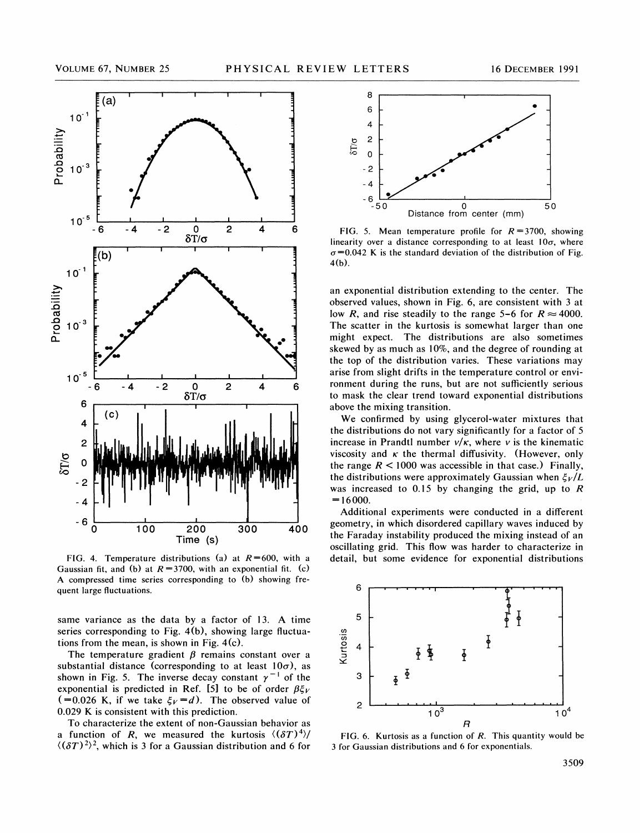

FIG. 4. Temperature distributions (a) at  $R=600$ , with a Gaussian fit, and (b) at  $R = 3700$ , with an exponential fit. (c) A compressed time series corresponding to (b) showing frequent large fluctuations.

same variance as the data by a factor of 13. A time series corresponding to Fig. 4(b), showing large fluctuations from the mean, is shown in Fig. 4(c).

The temperature gradient  $\beta$  remains constant over a substantial distance (corresponding to at least  $10\sigma$ ), as shown in Fig. 5. The inverse decay constant  $\gamma^{-1}$  of the exponential is predicted in Ref. [5] to be of order  $\beta \xi_V$  (=0.026 K, if we take  $\xi_V = d$ ). The observed value of 0.029 K is consistent with this prediction.

To characterize the extent of non-Gaussian behavior as a function of R, we measured the kurtosis  $\langle (\delta T)^4 \rangle$  $\langle (\delta T)^2 \rangle^2$ , which is 3 for a Gaussian distribution and 6 for



FIG. 5. Mean temperature profile for  $R = 3700$ , showing inearity over a distance corresponding to at least  $10\sigma$ , where  $\sigma$ =0.042 K is the standard deviation of the distribution of Fig. 4(b).

an exponential distribution extending to the center. The observed values, shown in Fig. 6, are consistent with 3 at low R, and rise steadily to the range 5-6 for  $R \approx 4000$ . The scatter in the kurtosis is somewhat larger than one might expect. The distributions are also sometimes skewed by as much as 10%, and the degree of rounding at the top of the distribution varies. These variations may arise from slight drifts in the temperature control or environment during the runs, but are not sufficiently serious to mask the clear trend toward exponential distributions above the mixing transition.

We confirmed by using glycerol-water mixtures that the distributions do not vary significantly for a factor of 5 increase in Prandtl number  $v/\kappa$ , where v is the kinematic viscosity and  $\kappa$  the thermal diffusivity. (However, only the range  $R < 1000$  was accessible in that case.) Finally, the distributions were approximately Gaussian when  $\zeta_V/L$ was increased to 0.15 by changing the grid, up to  $R$  $= 16000.$ 

Additional experiments were conducted in a different geometry, in which disordered capillary waves induced by the Faraday instability produced the mixing instead of an oscillating grid. This How was harder to characterize in detail, but some evidence for exponential distributions



FIG. 6. Kurtosis as a function of R. This quantity would be 3 for Gaussian distributions and 6 for exponentials.